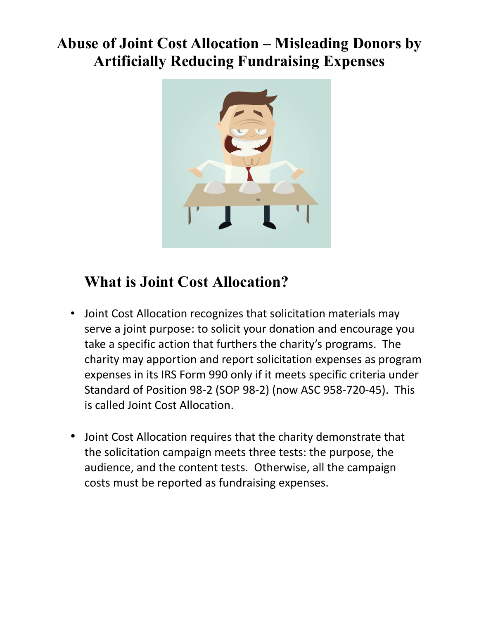### **Abuse of Joint Cost Allocation – Misleading Donors by Artificially Reducing Fundraising Expenses**



### **What is Joint Cost Allocation?**

- Joint Cost Allocation recognizes that solicitation materials may serve a joint purpose: to solicit your donation and encourage you take a specific action that furthers the charity's programs. The charity may apportion and report solicitation expenses as program expenses in its IRS Form 990 only if it meets specific criteria under Standard of Position 98-2 (SOP 98-2) (now ASC 958-720-45). This is called Joint Cost Allocation.
- Joint Cost Allocation requires that the charity demonstrate that the solicitation campaign meets three tests: the purpose, the audience, and the content tests. Otherwise, all the campaign costs must be reported as fundraising expenses.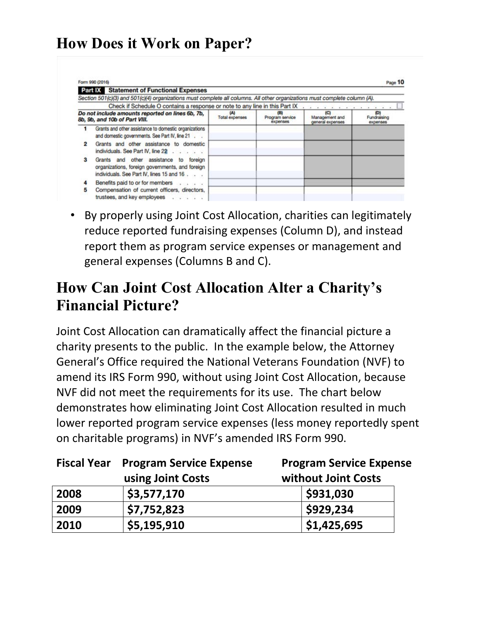#### **How Does it Work on Paper?**

|   | <b>Part IX Statement of Functional Expenses</b>                                                                                        |                              |                                    |                                           |                                |
|---|----------------------------------------------------------------------------------------------------------------------------------------|------------------------------|------------------------------------|-------------------------------------------|--------------------------------|
|   | Section 501(c)(3) and 501(c)(4) organizations must complete all columns. All other organizations must complete column (A).             |                              |                                    |                                           |                                |
|   | Check if Schedule O contains a response or note to any line in this Part IX                                                            |                              |                                    |                                           |                                |
|   | Do not include amounts reported on lines 6b, 7b,<br>8b, 9b, and 10b of Part VIII.                                                      | (A)<br><b>Total expenses</b> | (B)<br>Program service<br>expenses | (C)<br>Management and<br>general expenses | (D)<br>Fundraising<br>expenses |
|   | Grants and other assistance to domestic organizations<br>and domestic governments. See Part IV, line 21                                |                              |                                    |                                           |                                |
|   | Grants and other assistance to domestic<br>individuals. See Part IV, line 22                                                           |                              |                                    |                                           |                                |
| з | Grants and other assistance to foreign<br>organizations, foreign governments, and foreign<br>individuals. See Part IV, lines 15 and 16 |                              |                                    |                                           |                                |
| 4 | Benefits paid to or for members                                                                                                        |                              |                                    |                                           |                                |
| 5 | Compensation of current officers, directors,<br>trustees, and key employees                                                            |                              |                                    |                                           |                                |

• By properly using Joint Cost Allocation, charities can legitimately reduce reported fundraising expenses (Column D), and instead report them as program service expenses or management and general expenses (Columns B and C).

#### **How Can Joint Cost Allocation Alter a Charity's Financial Picture?**

Joint Cost Allocation can dramatically affect the financial picture a charity presents to the public. In the example below, the Attorney General's Office required the National Veterans Foundation (NVF) to amend its IRS Form 990, without using Joint Cost Allocation, because NVF did not meet the requirements for its use. The chart below demonstrates how eliminating Joint Cost Allocation resulted in much lower reported program service expenses (less money reportedly spent on charitable programs) in NVF's amended IRS Form 990.

| <b>Fiscal Year</b> | <b>Program Service Expense</b> | <b>Program Service Expense</b> |  |  |
|--------------------|--------------------------------|--------------------------------|--|--|
|                    | using Joint Costs              | without Joint Costs            |  |  |
| 2008               | \$3,577,170                    | \$931,030                      |  |  |
| 2009               | \$7,752,823                    | \$929,234                      |  |  |
| 2010               | \$5,195,910                    | \$1,425,695                    |  |  |